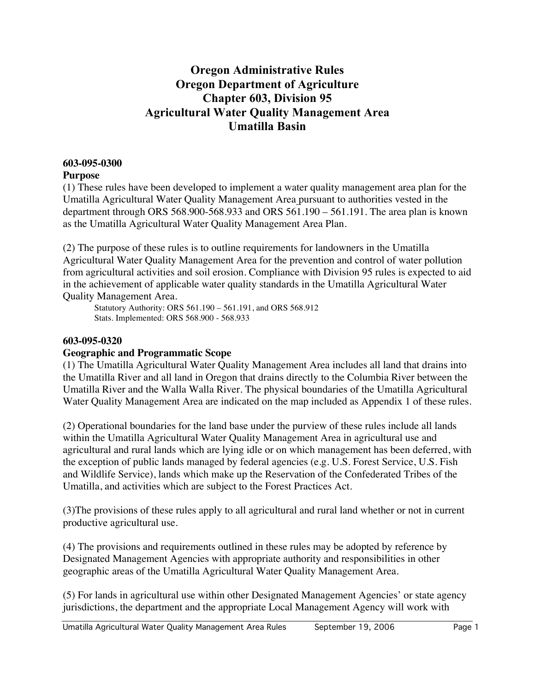# **Oregon Administrative Rules Oregon Department of Agriculture Chapter 603, Division 95 Agricultural Water Quality Management Area Umatilla Basin**

### **603-095-0300**

## **Purpose**

(1) These rules have been developed to implement a water quality management area plan for the Umatilla Agricultural Water Quality Management Area pursuant to authorities vested in the department through ORS 568.900-568.933 and ORS 561.190 – 561.191. The area plan is known as the Umatilla Agricultural Water Quality Management Area Plan.

(2) The purpose of these rules is to outline requirements for landowners in the Umatilla Agricultural Water Quality Management Area for the prevention and control of water pollution from agricultural activities and soil erosion. Compliance with Division 95 rules is expected to aid in the achievement of applicable water quality standards in the Umatilla Agricultural Water Quality Management Area.

Statutory Authority: ORS 561.190 – 561.191, and ORS 568.912 Stats. Implemented: ORS 568.900 - 568.933

## **603-095-0320**

## **Geographic and Programmatic Scope**

(1) The Umatilla Agricultural Water Quality Management Area includes all land that drains into the Umatilla River and all land in Oregon that drains directly to the Columbia River between the Umatilla River and the Walla Walla River. The physical boundaries of the Umatilla Agricultural Water Quality Management Area are indicated on the map included as Appendix 1 of these rules.

(2) Operational boundaries for the land base under the purview of these rules include all lands within the Umatilla Agricultural Water Quality Management Area in agricultural use and agricultural and rural lands which are lying idle or on which management has been deferred, with the exception of public lands managed by federal agencies (e.g. U.S. Forest Service, U.S. Fish and Wildlife Service), lands which make up the Reservation of the Confederated Tribes of the Umatilla, and activities which are subject to the Forest Practices Act.

(3)The provisions of these rules apply to all agricultural and rural land whether or not in current productive agricultural use.

(4) The provisions and requirements outlined in these rules may be adopted by reference by Designated Management Agencies with appropriate authority and responsibilities in other geographic areas of the Umatilla Agricultural Water Quality Management Area.

(5) For lands in agricultural use within other Designated Management Agencies' or state agency jurisdictions, the department and the appropriate Local Management Agency will work with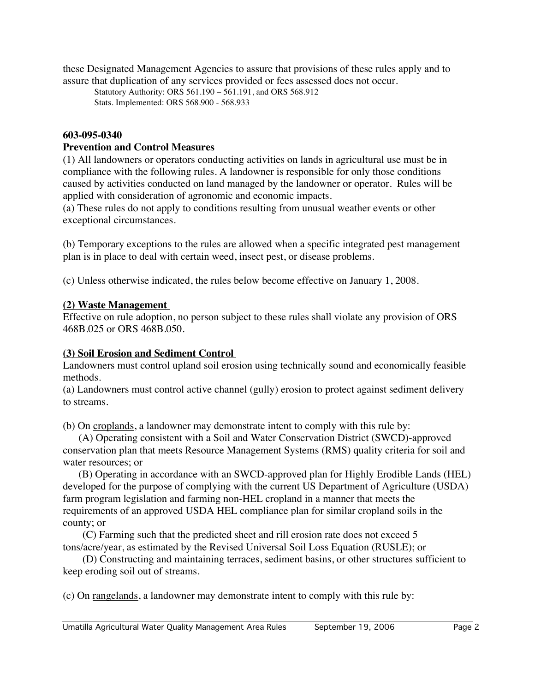these Designated Management Agencies to assure that provisions of these rules apply and to assure that duplication of any services provided or fees assessed does not occur.

Statutory Authority: ORS 561.190 – 561.191, and ORS 568.912 Stats. Implemented: ORS 568.900 - 568.933

#### **603-095-0340**

#### **Prevention and Control Measures**

(1) All landowners or operators conducting activities on lands in agricultural use must be in compliance with the following rules. A landowner is responsible for only those conditions caused by activities conducted on land managed by the landowner or operator. Rules will be applied with consideration of agronomic and economic impacts.

(a) These rules do not apply to conditions resulting from unusual weather events or other exceptional circumstances.

(b) Temporary exceptions to the rules are allowed when a specific integrated pest management plan is in place to deal with certain weed, insect pest, or disease problems.

(c) Unless otherwise indicated, the rules below become effective on January 1, 2008.

#### **(2) Waste Management**

Effective on rule adoption, no person subject to these rules shall violate any provision of ORS 468B.025 or ORS 468B.050.

#### **(3) Soil Erosion and Sediment Control**

Landowners must control upland soil erosion using technically sound and economically feasible methods.

(a) Landowners must control active channel (gully) erosion to protect against sediment delivery to streams.

(b) On croplands, a landowner may demonstrate intent to comply with this rule by:

(A) Operating consistent with a Soil and Water Conservation District (SWCD)-approved conservation plan that meets Resource Management Systems (RMS) quality criteria for soil and water resources; or

(B) Operating in accordance with an SWCD-approved plan for Highly Erodible Lands (HEL) developed for the purpose of complying with the current US Department of Agriculture (USDA) farm program legislation and farming non-HEL cropland in a manner that meets the requirements of an approved USDA HEL compliance plan for similar cropland soils in the county; or

(C) Farming such that the predicted sheet and rill erosion rate does not exceed 5 tons/acre/year, as estimated by the Revised Universal Soil Loss Equation (RUSLE); or

(D) Constructing and maintaining terraces, sediment basins, or other structures sufficient to keep eroding soil out of streams.

(c) On rangelands, a landowner may demonstrate intent to comply with this rule by: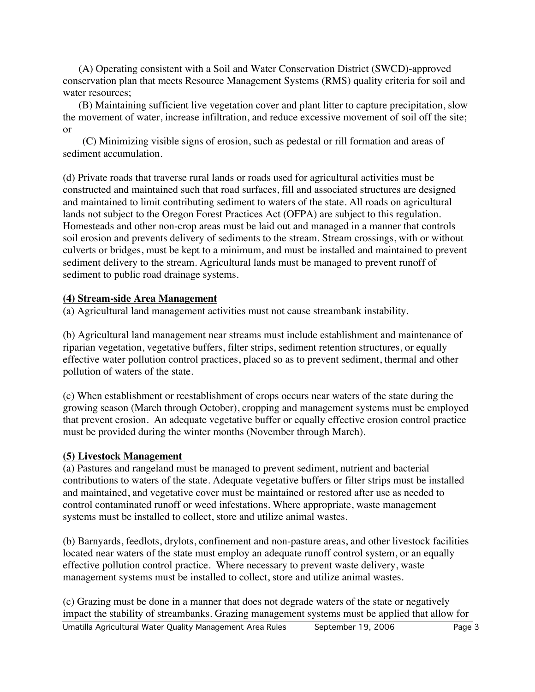(A) Operating consistent with a Soil and Water Conservation District (SWCD)-approved conservation plan that meets Resource Management Systems (RMS) quality criteria for soil and water resources:

(B) Maintaining sufficient live vegetation cover and plant litter to capture precipitation, slow the movement of water, increase infiltration, and reduce excessive movement of soil off the site; or

(C) Minimizing visible signs of erosion, such as pedestal or rill formation and areas of sediment accumulation.

(d) Private roads that traverse rural lands or roads used for agricultural activities must be constructed and maintained such that road surfaces, fill and associated structures are designed and maintained to limit contributing sediment to waters of the state. All roads on agricultural lands not subject to the Oregon Forest Practices Act (OFPA) are subject to this regulation. Homesteads and other non-crop areas must be laid out and managed in a manner that controls soil erosion and prevents delivery of sediments to the stream. Stream crossings, with or without culverts or bridges, must be kept to a minimum, and must be installed and maintained to prevent sediment delivery to the stream. Agricultural lands must be managed to prevent runoff of sediment to public road drainage systems.

## **(4) Stream-side Area Management**

(a) Agricultural land management activities must not cause streambank instability.

(b) Agricultural land management near streams must include establishment and maintenance of riparian vegetation, vegetative buffers, filter strips, sediment retention structures, or equally effective water pollution control practices, placed so as to prevent sediment, thermal and other pollution of waters of the state.

(c) When establishment or reestablishment of crops occurs near waters of the state during the growing season (March through October), cropping and management systems must be employed that prevent erosion. An adequate vegetative buffer or equally effective erosion control practice must be provided during the winter months (November through March).

#### **(5) Livestock Management**

(a) Pastures and rangeland must be managed to prevent sediment, nutrient and bacterial contributions to waters of the state. Adequate vegetative buffers or filter strips must be installed and maintained, and vegetative cover must be maintained or restored after use as needed to control contaminated runoff or weed infestations. Where appropriate, waste management systems must be installed to collect, store and utilize animal wastes.

(b) Barnyards, feedlots, drylots, confinement and non-pasture areas, and other livestock facilities located near waters of the state must employ an adequate runoff control system, or an equally effective pollution control practice. Where necessary to prevent waste delivery, waste management systems must be installed to collect, store and utilize animal wastes.

(c) Grazing must be done in a manner that does not degrade waters of the state or negatively impact the stability of streambanks. Grazing management systems must be applied that allow for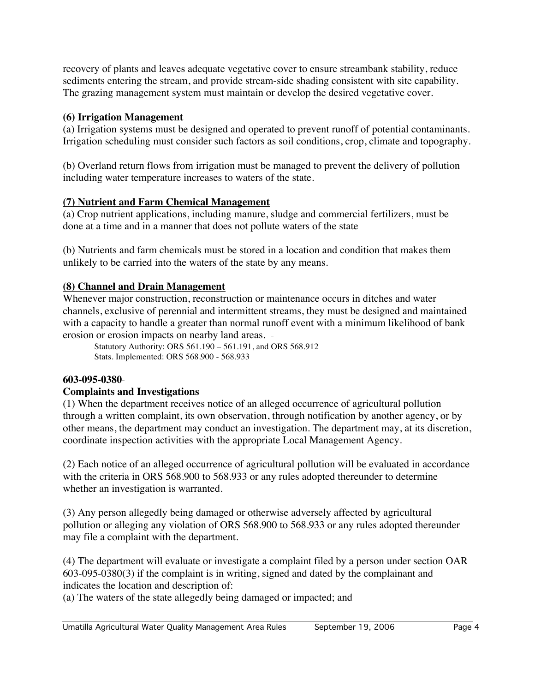recovery of plants and leaves adequate vegetative cover to ensure streambank stability, reduce sediments entering the stream, and provide stream-side shading consistent with site capability. The grazing management system must maintain or develop the desired vegetative cover.

## **(6) Irrigation Management**

(a) Irrigation systems must be designed and operated to prevent runoff of potential contaminants. Irrigation scheduling must consider such factors as soil conditions, crop, climate and topography.

(b) Overland return flows from irrigation must be managed to prevent the delivery of pollution including water temperature increases to waters of the state.

# **(7) Nutrient and Farm Chemical Management**

(a) Crop nutrient applications, including manure, sludge and commercial fertilizers, must be done at a time and in a manner that does not pollute waters of the state

(b) Nutrients and farm chemicals must be stored in a location and condition that makes them unlikely to be carried into the waters of the state by any means.

# **(8) Channel and Drain Management**

Whenever major construction, reconstruction or maintenance occurs in ditches and water channels, exclusive of perennial and intermittent streams, they must be designed and maintained with a capacity to handle a greater than normal runoff event with a minimum likelihood of bank erosion or erosion impacts on nearby land areas.

Statutory Authority: ORS 561.190 – 561.191, and ORS 568.912 Stats. Implemented: ORS 568.900 - 568.933

# **603-095-0380**

# **Complaints and Investigations**

(1) When the department receives notice of an alleged occurrence of agricultural pollution through a written complaint, its own observation, through notification by another agency, or by other means, the department may conduct an investigation. The department may, at its discretion, coordinate inspection activities with the appropriate Local Management Agency.

(2) Each notice of an alleged occurrence of agricultural pollution will be evaluated in accordance with the criteria in ORS 568.900 to 568.933 or any rules adopted thereunder to determine whether an investigation is warranted.

(3) Any person allegedly being damaged or otherwise adversely affected by agricultural pollution or alleging any violation of ORS 568.900 to 568.933 or any rules adopted thereunder may file a complaint with the department.

(4) The department will evaluate or investigate a complaint filed by a person under section OAR 603-095-0380(3) if the complaint is in writing, signed and dated by the complainant and indicates the location and description of:

(a) The waters of the state allegedly being damaged or impacted; and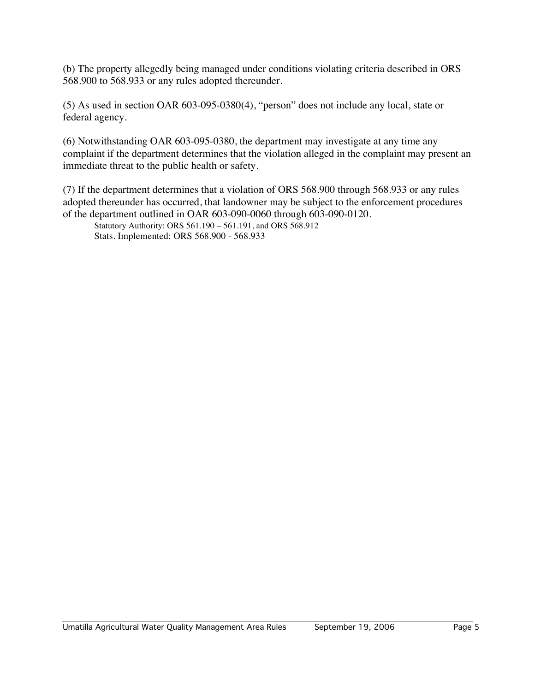(b) The property allegedly being managed under conditions violating criteria described in ORS 568.900 to 568.933 or any rules adopted thereunder.

(5) As used in section OAR 603-095-0380(4), "person" does not include any local, state or federal agency.

(6) Notwithstanding OAR 603-095-0380, the department may investigate at any time any complaint if the department determines that the violation alleged in the complaint may present an immediate threat to the public health or safety.

(7) If the department determines that a violation of ORS 568.900 through 568.933 or any rules adopted thereunder has occurred, that landowner may be subject to the enforcement procedures of the department outlined in OAR 603-090-0060 through 603-090-0120.

Statutory Authority: ORS 561.190 – 561.191, and ORS 568.912 Stats. Implemented: ORS 568.900 - 568.933